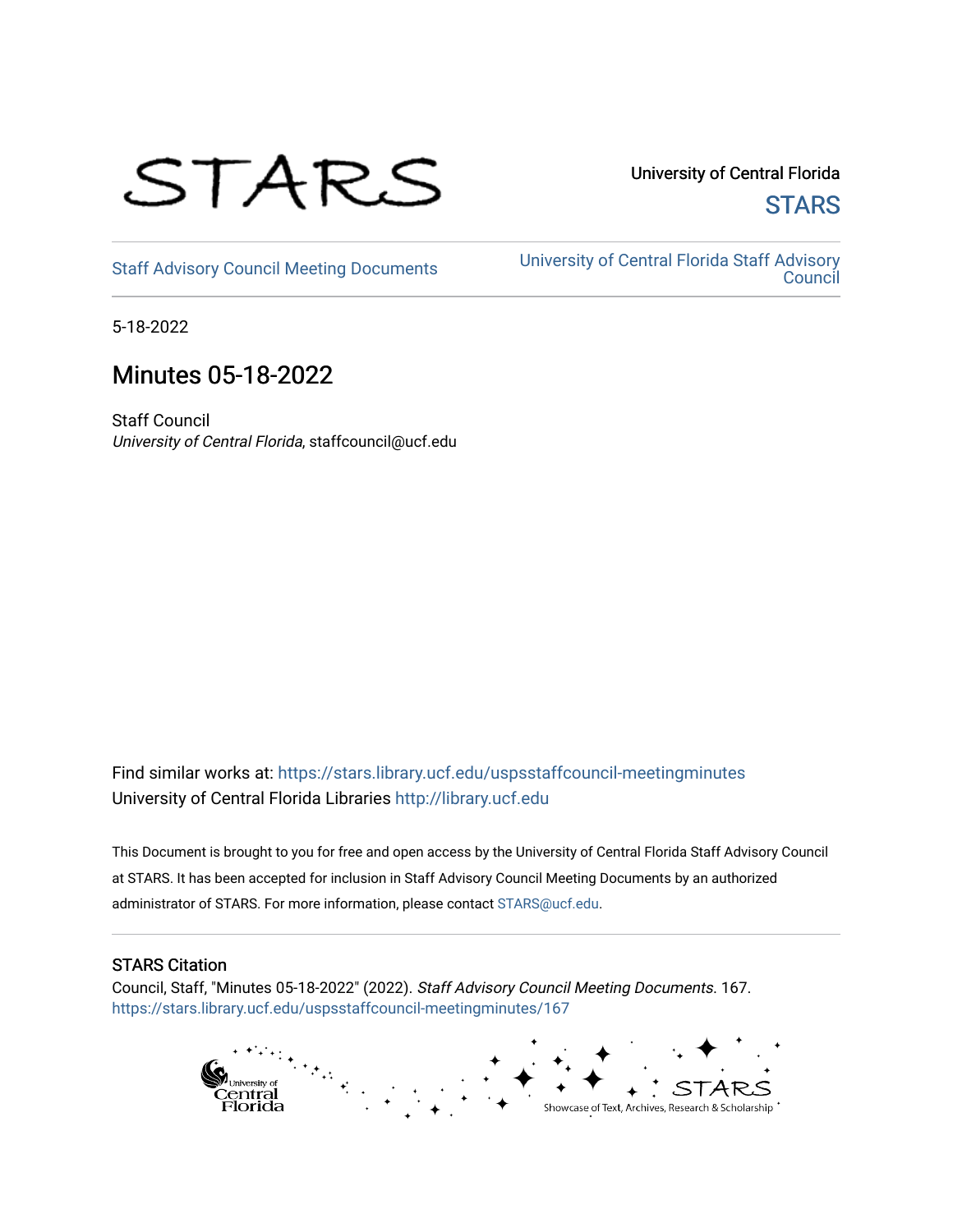

University of Central Florida **STARS** 

[Staff Advisory Council Meeting Documents](https://stars.library.ucf.edu/uspsstaffcouncil-meetingminutes) [University of Central Florida Staff Advisory](https://stars.library.ucf.edu/uspsstaffcouncil)  **Council** 

5-18-2022

# Minutes 05-18-2022

Staff Council University of Central Florida, staffcouncil@ucf.edu

Find similar works at: <https://stars.library.ucf.edu/uspsstaffcouncil-meetingminutes> University of Central Florida Libraries [http://library.ucf.edu](http://library.ucf.edu/) 

This Document is brought to you for free and open access by the University of Central Florida Staff Advisory Council at STARS. It has been accepted for inclusion in Staff Advisory Council Meeting Documents by an authorized administrator of STARS. For more information, please contact [STARS@ucf.edu.](mailto:STARS@ucf.edu)

# STARS Citation

Council, Staff, "Minutes 05-18-2022" (2022). Staff Advisory Council Meeting Documents. 167. [https://stars.library.ucf.edu/uspsstaffcouncil-meetingminutes/167](https://stars.library.ucf.edu/uspsstaffcouncil-meetingminutes/167?utm_source=stars.library.ucf.edu%2Fuspsstaffcouncil-meetingminutes%2F167&utm_medium=PDF&utm_campaign=PDFCoverPages)

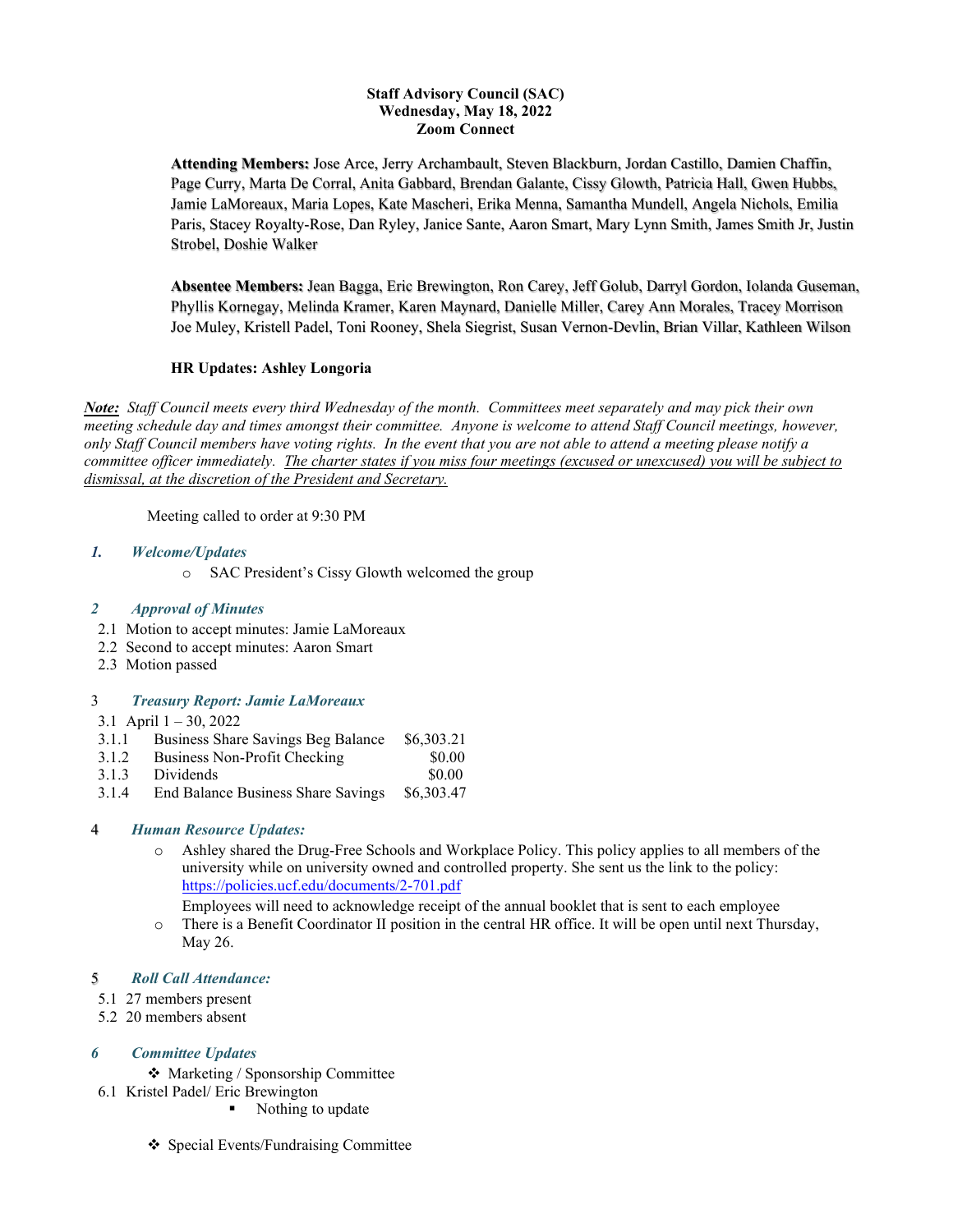#### **Staff Advisory Council (SAC) Wednesday, May 18, 2022 Zoom Connect**

**Attending Members:** Jose Arce, Jerry Archambault, Steven Blackburn, Jordan Castillo, Damien Chaffin, Page Curry, Marta De Corral, Anita Gabbard, Brendan Galante, Cissy Glowth, Patricia Hall, Gwen Hubbs, Jamie LaMoreaux, Maria Lopes, Kate Mascheri, Erika Menna, Samantha Mundell, Angela Nichols, Emilia Paris, Stacey Royalty-Rose, Dan Ryley, Janice Sante, Aaron Smart, Mary Lynn Smith, James Smith Jr, Justin Strobel, Doshie Walker

**Absentee Members:** Jean Bagga, Eric Brewington, Ron Carey, Jeff Golub, Darryl Gordon, Iolanda Guseman, Phyllis Kornegay, Melinda Kramer, Karen Maynard, Danielle Miller, Carey Ann Morales, Tracey Morrison Joe Muley, Kristell Padel, Toni Rooney, Shela Siegrist, Susan Vernon-Devlin, Brian Villar, Kathleen Wilson

## **HR Updates: Ashley Longoria**

*Note: Staff Council meets every third Wednesday of the month. Committees meet separately and may pick their own meeting schedule day and times amongst their committee. Anyone is welcome to attend Staff Council meetings, however, only Staff Council members have voting rights. In the event that you are not able to attend a meeting please notify a committee officer immediately. The charter states if you miss four meetings (excused or unexcused) you will be subject to dismissal, at the discretion of the President and Secretary.*

Meeting called to order at 9:30 PM

### *1. Welcome/Updates*

o SAC President's Cissy Glowth welcomed the group

### *2 Approval of Minutes*

- 2.1 Motion to accept minutes: Jamie LaMoreaux
- 2.2 Second to accept minutes: Aaron Smart
- 2.3 Motion passed

### 3 *Treasury Report: Jamie LaMoreaux*

3.1 April  $1 - 30$ , 2022

- 3.1.1 Business Share Savings Beg Balance \$6,303.21
- 3.1.2 Business Non-Profit Checking \$0.00
- 3.1.3 Dividends \$0.00
- 3.1.4 End Balance Business Share Savings \$6,303.47

### 4 *Human Resource Updates:*

o Ashley shared the Drug-Free Schools and Workplace Policy. This policy applies to all members of the university while on university owned and controlled property. She sent us the link to the policy: <https://policies.ucf.edu/documents/2-701.pdf>

Employees will need to acknowledge receipt of the annual booklet that is sent to each employee

o There is a Benefit Coordinator II position in the central HR office. It will be open until next Thursday, May 26.

### 5 *Roll Call Attendance:*

- 5.1 27 members present
- 5.2 20 members absent

## *6 Committee Updates*

◆ Marketing / Sponsorship Committee

- 6.1 Kristel Padel/ Eric Brewington
	- Nothing to update
	- ❖ Special Events/Fundraising Committee